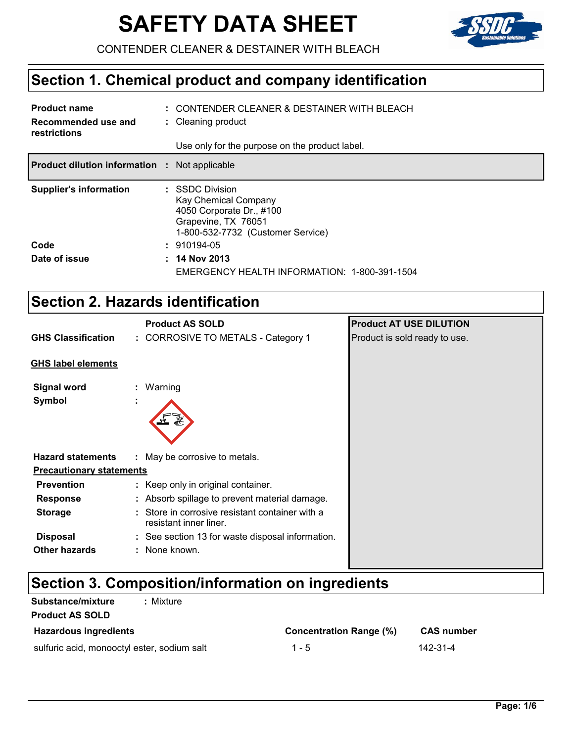# **SAFETY DATA SHEET**



CONTENDER CLEANER & DESTAINER WITH BLEACH

# **Section 1. Chemical product and company identification**

| <b>Product name</b><br>Recommended use and<br>restrictions | : CONTENDER CLEANER & DESTAINER WITH BLEACH<br>: Cleaning product<br>Use only for the purpose on the product label.             |
|------------------------------------------------------------|---------------------------------------------------------------------------------------------------------------------------------|
| <b>Product dilution information :</b> Not applicable       |                                                                                                                                 |
| <b>Supplier's information</b>                              | : SSDC Division<br>Kay Chemical Company<br>4050 Corporate Dr., #100<br>Grapevine, TX 76051<br>1-800-532-7732 (Customer Service) |
| Code                                                       | $: 910194-05$                                                                                                                   |
| Date of issue                                              | $: 14$ Nov 2013<br>EMERGENCY HEALTH INFORMATION: 1-800-391-1504                                                                 |

# **Section 2. Hazards identification**

|                                 | <b>Product AS SOLD</b>                                                  | <b>Product AT USE DILUTION</b> |
|---------------------------------|-------------------------------------------------------------------------|--------------------------------|
| <b>GHS Classification</b>       | : CORROSIVE TO METALS - Category 1                                      | Product is sold ready to use.  |
| <b>GHS label elements</b>       |                                                                         |                                |
| <b>Signal word</b><br>Symbol    | : Warning<br>$\blacksquare$                                             |                                |
| <b>Hazard statements</b>        | : May be corrosive to metals.                                           |                                |
| <b>Precautionary statements</b> |                                                                         |                                |
| <b>Prevention</b>               | : Keep only in original container.                                      |                                |
| <b>Response</b>                 | : Absorb spillage to prevent material damage.                           |                                |
| <b>Storage</b>                  | Store in corrosive resistant container with a<br>resistant inner liner. |                                |
| <b>Disposal</b>                 | : See section 13 for waste disposal information.                        |                                |
| <b>Other hazards</b>            | : None known.                                                           |                                |

# **Section 3. Composition/information on ingredients**

| <b>Substance/mixture</b><br>: Mixture       |                                |                   |
|---------------------------------------------|--------------------------------|-------------------|
| <b>Product AS SOLD</b>                      |                                |                   |
| <b>Hazardous ingredients</b>                | <b>Concentration Range (%)</b> | <b>CAS number</b> |
| sulfuric acid, monooctyl ester, sodium salt | $1 - 5$                        | 142-31-4          |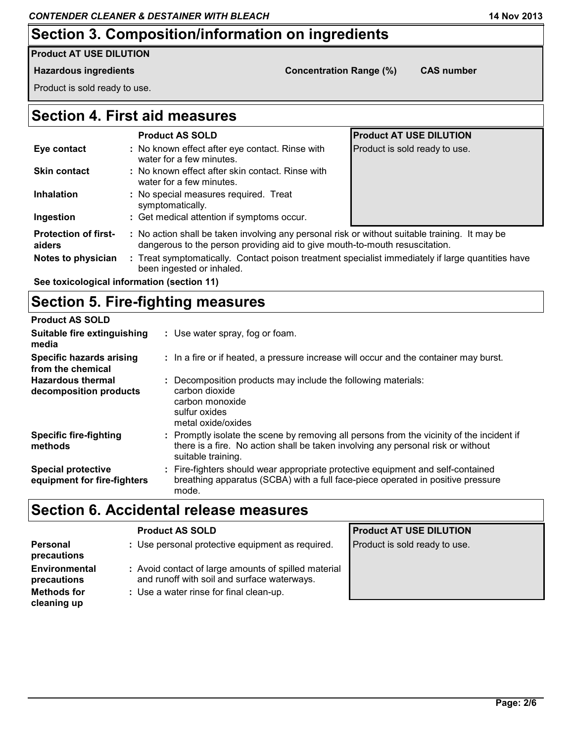# **Section 3. Composition/information on ingredients**

#### **Product AT USE DILUTION**

#### **Hazardous ingredients Concentration Range (%) CAS number**

Product is sold ready to use.

#### **Section 4. First aid measures**

|                                       | <b>Product AS SOLD</b>                                                                                                                                                        | <b>Product AT USE DILUTION</b> |  |
|---------------------------------------|-------------------------------------------------------------------------------------------------------------------------------------------------------------------------------|--------------------------------|--|
| Eye contact                           | : No known effect after eye contact. Rinse with<br>water for a few minutes.                                                                                                   | Product is sold ready to use.  |  |
| <b>Skin contact</b>                   | : No known effect after skin contact. Rinse with<br>water for a few minutes.                                                                                                  |                                |  |
| <b>Inhalation</b>                     | : No special measures required. Treat<br>symptomatically.                                                                                                                     |                                |  |
| Ingestion                             | : Get medical attention if symptoms occur.                                                                                                                                    |                                |  |
| <b>Protection of first-</b><br>aiders | : No action shall be taken involving any personal risk or without suitable training. It may be<br>dangerous to the person providing aid to give mouth-to-mouth resuscitation. |                                |  |
| Notes to physician                    | : Treat symptomatically. Contact poison treatment specialist immediately if large quantities have<br>been ingested or inhaled.                                                |                                |  |

**See toxicological information (section 11)**

#### **Section 5. Fire-fighting measures**

| <b>Product AS SOLD</b>                                   |                                                                                                                                                                                                     |
|----------------------------------------------------------|-----------------------------------------------------------------------------------------------------------------------------------------------------------------------------------------------------|
| Suitable fire extinguishing<br>media                     | : Use water spray, fog or foam.                                                                                                                                                                     |
| <b>Specific hazards arising</b><br>from the chemical     | : In a fire or if heated, a pressure increase will occur and the container may burst.                                                                                                               |
| <b>Hazardous thermal</b><br>decomposition products       | : Decomposition products may include the following materials:<br>carbon dioxide<br>carbon monoxide<br>sulfur oxides<br>metal oxide/oxides                                                           |
| <b>Specific fire-fighting</b><br>methods                 | : Promptly isolate the scene by removing all persons from the vicinity of the incident if<br>there is a fire. No action shall be taken involving any personal risk or without<br>suitable training. |
| <b>Special protective</b><br>equipment for fire-fighters | : Fire-fighters should wear appropriate protective equipment and self-contained<br>breathing apparatus (SCBA) with a full face-piece operated in positive pressure<br>mode.                         |

### **Section 6. Accidental release measures**

|                                                           | <b>Product AS SOLD</b>                                                                                                                         | <b>Product AT USE DILUTION</b> |
|-----------------------------------------------------------|------------------------------------------------------------------------------------------------------------------------------------------------|--------------------------------|
| <b>Personal</b><br>precautions                            | : Use personal protective equipment as required.                                                                                               | Product is sold ready to use.  |
| <b>Environmental</b><br>precautions<br><b>Methods for</b> | : Avoid contact of large amounts of spilled material<br>and runoff with soil and surface waterways.<br>: Use a water rinse for final clean-up. |                                |
| cleaning up                                               |                                                                                                                                                |                                |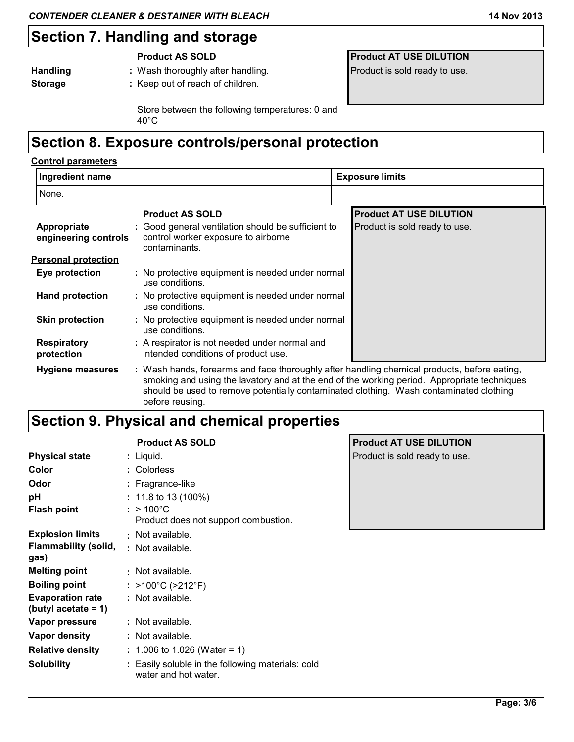#### **Section 7. Handling and storage**

| <b>Handling</b> |  |
|-----------------|--|
| <b>Storage</b>  |  |

**:** Wash thoroughly after handling. **Product is sold ready to use.** Product is sold ready to use. **:** Keep out of reach of children.

**Product AS SOLD Product AT USE DILUTION** 

Store between the following temperatures: 0 and 40°C

### **Section 8. Exposure controls/personal protection**

#### **Hand protection Eye protection Respiratory protection :** A respirator is not needed under normal and **:** No protective equipment is needed under normal **:** No protective equipment is needed under normal **Skin protection : Appropriate engineering controls :** Good general ventilation should be sufficient to **Hygiene measures : Control parameters Personal protection Product AS SOLD Product AT USE DILUTION** None. **Ingredient name Exposure limits** control worker exposure to airborne contaminants. Product is sold ready to use. use conditions. Wash hands, forearms and face thoroughly after handling chemical products, before eating, smoking and using the lavatory and at the end of the working period. Appropriate techniques use conditions. : No protective equipment is needed under normal use conditions. intended conditions of product use.

should be used to remove potentially contaminated clothing. Wash contaminated clothing

#### before reusing. **Section 9. Physical and chemical properties**

|                                                   | <b>Product AS SOLD</b>                                                    | P  |
|---------------------------------------------------|---------------------------------------------------------------------------|----|
| <b>Physical state</b>                             | : Liquid.                                                                 | Pı |
| Color                                             | : Colorless                                                               |    |
| Odor                                              | : Fragrance-like                                                          |    |
| рH                                                | : 11.8 to 13 (100%)                                                       |    |
| <b>Flash point</b>                                | : $>100^{\circ}$ C<br>Product does not support combustion.                |    |
| <b>Explosion limits</b>                           | : Not available.                                                          |    |
| <b>Flammability (solid,</b><br>gas)               | : Not available.                                                          |    |
| <b>Melting point</b>                              | : Not available.                                                          |    |
| <b>Boiling point</b>                              | : >100°C (>212°F)                                                         |    |
| <b>Evaporation rate</b><br>(butyl acetate $= 1$ ) | : Not available.                                                          |    |
| Vapor pressure                                    | : Not available.                                                          |    |
| Vapor density                                     | : Not available.                                                          |    |
| <b>Relative density</b>                           | : 1.006 to 1.026 (Water = 1)                                              |    |
| <b>Solubility</b>                                 | : Easily soluble in the following materials: cold<br>water and hot water. |    |

#### **Product AT USE DILUTION**

roduct is sold ready to use.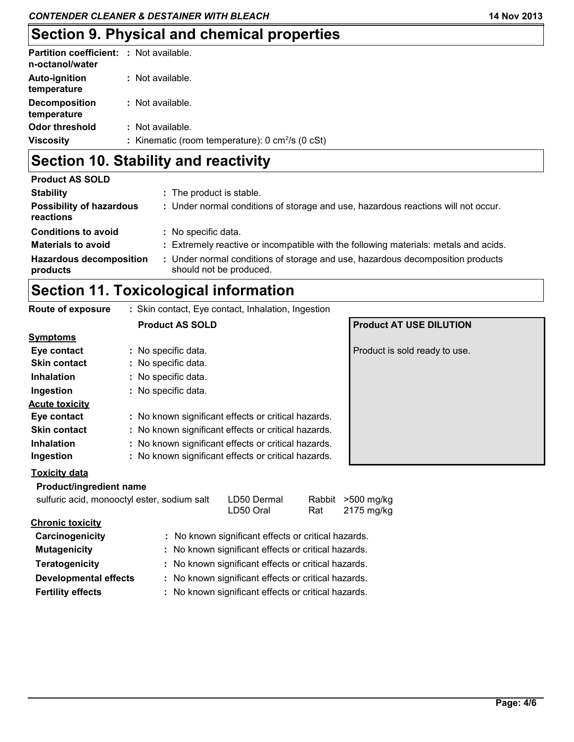| Viscosity                                                         | : Kinematic (room temperature): $0 \text{ cm}^2/\text{s}$ (0 cSt) |
|-------------------------------------------------------------------|-------------------------------------------------------------------|
| <b>Odor threshold</b>                                             | : Not available.                                                  |
| <b>Decomposition</b><br>temperature                               | : Not available.                                                  |
| <b>Auto-ignition</b><br>temperature                               | : Not available.                                                  |
| <b>Partition coefficient: : Not available.</b><br>n-octanol/water |                                                                   |

# **Section 10. Stability and reactivity**

| <b>Product AS SOLD</b>                       |                                                                                                           |
|----------------------------------------------|-----------------------------------------------------------------------------------------------------------|
| <b>Stability</b>                             | : The product is stable.                                                                                  |
| <b>Possibility of hazardous</b><br>reactions | : Under normal conditions of storage and use, hazardous reactions will not occur.                         |
| <b>Conditions to avoid</b>                   | : No specific data.                                                                                       |
| <b>Materials to avoid</b>                    | : Extremely reactive or incompatible with the following materials: metals and acids.                      |
| <b>Hazardous decomposition</b><br>products   | : Under normal conditions of storage and use, hazardous decomposition products<br>should not be produced. |

# **Section 11. Toxicological information**

| Route of exposure                           | : Skin contact, Eye contact, Inhalation, Ingestion  |                                                     |        |                                |  |  |
|---------------------------------------------|-----------------------------------------------------|-----------------------------------------------------|--------|--------------------------------|--|--|
|                                             | <b>Product AS SOLD</b>                              |                                                     |        | <b>Product AT USE DILUTION</b> |  |  |
| <b>Symptoms</b>                             |                                                     |                                                     |        |                                |  |  |
| Eye contact                                 | : No specific data.                                 |                                                     |        | Product is sold ready to use.  |  |  |
| <b>Skin contact</b>                         | : No specific data.                                 |                                                     |        |                                |  |  |
| <b>Inhalation</b>                           | : No specific data.                                 |                                                     |        |                                |  |  |
| Ingestion                                   | : No specific data.                                 |                                                     |        |                                |  |  |
| <b>Acute toxicity</b>                       |                                                     |                                                     |        |                                |  |  |
| Eye contact                                 | : No known significant effects or critical hazards. |                                                     |        |                                |  |  |
| <b>Skin contact</b>                         | : No known significant effects or critical hazards. |                                                     |        |                                |  |  |
| <b>Inhalation</b>                           | : No known significant effects or critical hazards. |                                                     |        |                                |  |  |
| Ingestion                                   | : No known significant effects or critical hazards. |                                                     |        |                                |  |  |
| <b>Toxicity data</b>                        |                                                     |                                                     |        |                                |  |  |
| Product/ingredient name                     |                                                     |                                                     |        |                                |  |  |
| sulfuric acid, monooctyl ester, sodium salt |                                                     | LD50 Dermal                                         | Rabbit | >500 mg/kg                     |  |  |
|                                             |                                                     | LD50 Oral                                           | Rat    | 2175 mg/kg                     |  |  |
| <b>Chronic toxicity</b>                     |                                                     |                                                     |        |                                |  |  |
| Carcinogenicity                             |                                                     | : No known significant effects or critical hazards. |        |                                |  |  |
| <b>Mutagenicity</b>                         | : No known significant effects or critical hazards. |                                                     |        |                                |  |  |
| <b>Teratogenicity</b>                       |                                                     | : No known significant effects or critical hazards. |        |                                |  |  |
| <b>Developmental effects</b>                |                                                     | : No known significant effects or critical hazards. |        |                                |  |  |
| <b>Fertility effects</b>                    |                                                     | : No known significant effects or critical hazards. |        |                                |  |  |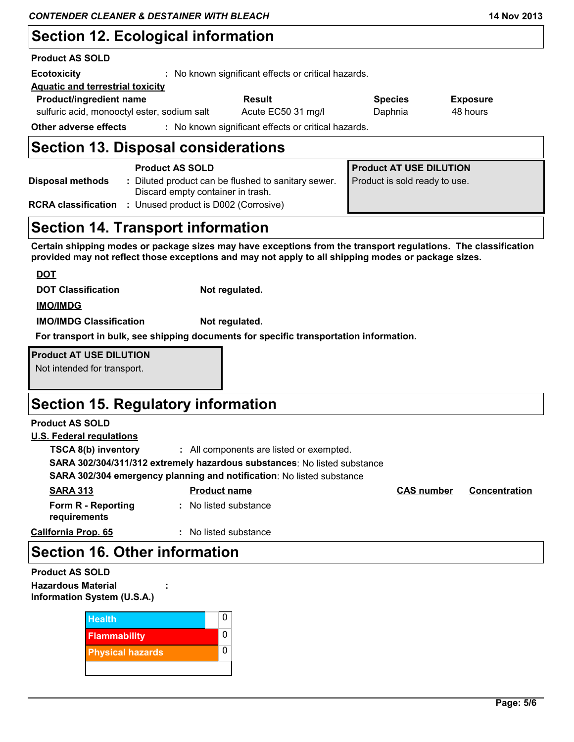# **Section 12. Ecological information**

#### **Product AS SOLD**

| <b>Ecotoxicity</b>                          | : No known significant effects or critical hazards. |                                                     |                |                 |  |
|---------------------------------------------|-----------------------------------------------------|-----------------------------------------------------|----------------|-----------------|--|
| <b>Aquatic and terrestrial toxicity</b>     |                                                     |                                                     |                |                 |  |
| <b>Product/ingredient name</b>              |                                                     | <b>Result</b>                                       | <b>Species</b> | <b>Exposure</b> |  |
| sulfuric acid, monooctyl ester, sodium salt |                                                     | Acute EC50 31 mg/l                                  | Daphnia        | 48 hours        |  |
| Other adverse effects                       |                                                     | : No known significant effects or critical hazards. |                |                 |  |
|                                             |                                                     |                                                     |                |                 |  |

#### **Section 13. Disposal considerations**

|                            | <b>Product AS SOLD</b>                                                                 | <b>Product AT USE DILUTION</b> |
|----------------------------|----------------------------------------------------------------------------------------|--------------------------------|
| Disposal methods           | Diluted product can be flushed to sanitary sewer.<br>Discard empty container in trash. | Product is sold ready to use.  |
| <b>RCRA classification</b> | : Unused product is D002 (Corrosive)                                                   |                                |

## **Section 14. Transport information**

**Certain shipping modes or package sizes may have exceptions from the transport regulations. The classification provided may not reflect those exceptions and may not apply to all shipping modes or package sizes.**

| <b>DOT</b>                     |                                                                                        |
|--------------------------------|----------------------------------------------------------------------------------------|
| <b>DOT Classification</b>      | Not regulated.                                                                         |
| <b>IMO/IMDG</b>                |                                                                                        |
| <b>IMO/IMDG Classification</b> | Not regulated.                                                                         |
|                                | For transport in bulk, see shipping documents for specific transportation information. |

**Product AT USE DILUTION** Not intended for transport.

## **Section 15. Regulatory information**

#### **Product AS SOLD**

#### **U.S. Federal regulations**

**TSCA 8(b) inventory :** All components are listed or exempted.

**SARA 302/304/311/312 extremely hazardous substances**: No listed substance

**SARA 302/304 emergency planning and notification**: No listed substance

| <b>SARA 313</b>                    | <b>Product name</b> | <b>CAS number</b> | <b>Concentration</b> |
|------------------------------------|---------------------|-------------------|----------------------|
| Form R - Reporting<br>requirements | No listed substance |                   |                      |
| <b>California Prop. 65</b>         | No listed substance |                   |                      |

#### **Section 16. Other information**

| <b>Product AS SOLD</b>      |        |
|-----------------------------|--------|
| <b>Hazardous Material</b>   | ٠<br>٠ |
| Information System (U.S.A.) |        |

| <b>Health</b>           | O |
|-------------------------|---|
| <b>Flammability</b>     |   |
| <b>Physical hazards</b> | U |
|                         |   |

**:**